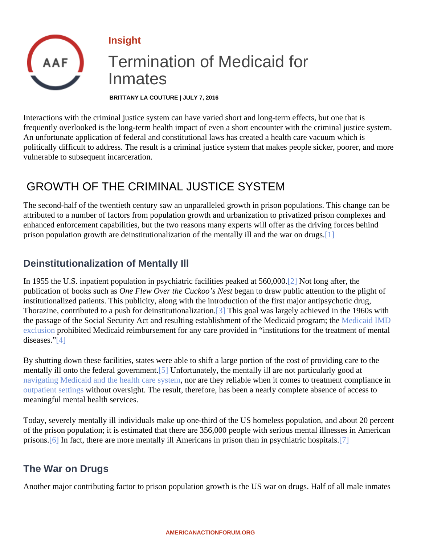#### <span id="page-0-0"></span>Insight

# Termination of Medicaid for Inmates

BRITTANY LA COUTURE | JULY 7, 2016

Interactions with the criminal justice system can have varied short and long-term effects, but one that is frequently overlooked is the long-term health impact of even a short encounter with the criminal justice syster An unfortunate application of federal and constitutional laws has created a health care vacuum which is politically difficult to address. The result is a criminal justice system that makes people sicker, poorer, and mo vulnerable to subsequent incarceration.

### GROWTH OF THE CRIMINAL JUSTICE SYSTEM

The second-half of the twentieth century saw an unparalleled growth in prison populations. This change can be attributed to a number of factors from population growth and urbanization to privatized prison complexes and enhanced enforcement capabilities, but the two reasons many experts will offer as the driving forces behind prison population growth are deinstitutionalization of the mentally ill and the war on dirugs.

### Deinstitutionalization of Mentally Ill

In 1955 the U.S. inpatient population in psychiatric facilities peaked at 560, DNot long after, the publication of books such ane Flew Over the Cuckoo's Nest gan to draw public attention to the plight of institutionalized patients. This publicity, along with the introduction of the first major antipsychotic drug, Thorazine, contributed to a push for deinstitutionaliz[atio](#page-4-0)n. This goal was largely achieved in the 1960s with the passage of the Social Security Act and resulting establishment of the Medicaid programition IMD [exclusion](�� h t t p : / / a m e r i c a n a c t i o n f o r u m . o r g / i n s i g h t s / t h e - p r o b l e m s - w i t h - t h e - i m d - e x c l u s i o n) prohibited Medicaid reimbursement for any care provided in "institutions for the treatment of mental  $diseases$  $[4]$ 

By shutting down these facilities, states were able to shift a large portion of the cost of providing care to the mentally ill onto the federal governm[ent.](#page-4-0) Unfortunately, the mentally ill are not particularly good at [navigating Medicaid and the health care sys](�� h t t p : / / a m e r i c a n a c t i o n f o r u m . o r g / i n s i g h t s / p r i m e r - n a v i g a t i n g - t h e - m e n t a l - h e a l t h - s y s t e m)tem are they reliable when it comes to treatment compliance in [outpatient setting](�� h t t p : / / a m e r i c a n a c t i o n f o r u m . o r g / i n s i g h t s / p r i m e r - a s s i s t e d - o u t p a t i e n t - t r e a t m e n t)without oversight. The result, therefore, has been a nearly complete absence of access to meaningful mental health services.

Today, severely mentally ill individuals make up one-third of the US homeless population, and about 20 perce of the prison population; it is estimated that there are 356,000 people with serious mental illnesses in America prisons<sup>[6]</sup> In fact, there are more mentally ill Americans in prison than in psychiatric ho[spit](#page-4-0)als.

#### The War on Drugs

Another major contributing factor to prison population growth is the US war on drugs. Half of all male inmates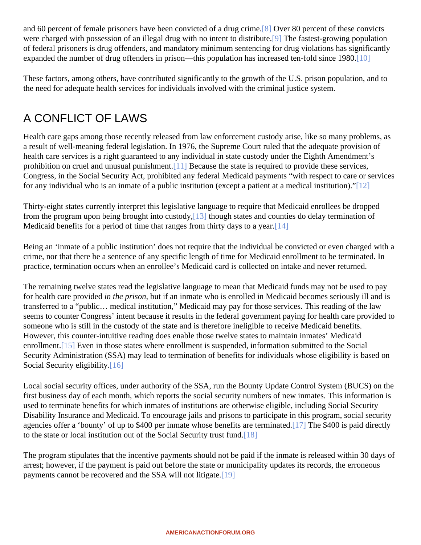<span id="page-1-0"></span>and 60 percent of female prisoners have been convicted of a dru[g cr](#page-4-0)ime 80 percent of these convicts were charged with possession of an illegal drug with no intent to dist[ribu](#page-4-0)te fastest-growing population of federal prisoners is drug offenders, and mandatory minimum sentencing for drug violations has significantly expanded the number of drug offenders in prison—this population has increased ten-fold since]1980.

These factors, among others, have contributed significantly to the growth of the U.S. prison population, and to the need for adequate health services for individuals involved with the criminal justice system.

# A CONFLICT OF LAWS

Health care gaps among those recently released from law enforcement custody arise, like so many problems a result of well-meaning federal legislation. In 1976, the Supreme Court ruled that the adequate provision of health care services is a right guaranteed to any individual in state custody under the Eighth Amendment's prohibition on cruel and unusual punish[ment.](#page-4-0) Because the state is required to provide these services, Congress, in the Social Security Act, prohibited any federal Medicaid payments "with respect to care or servic for any individual who is an inmate of a public instit[ution](#page-4-0) (except a patient at a medical institution)."

Thirty-eight states currently interpret this legislative language to require that Medicaid enrollees be dropped from the program upon being brought into cust[ody,](#page-4-0) though states and counties do delay termination of Medicaid benefits for a period of time that ranges from thirty days to a  $\psi$ ear.

Being an 'inmate of a public institution' does not require that the individual be convicted or even charged with crime, nor that there be a sentence of any specific length of time for Medicaid enrollment to be terminated. In practice, termination occurs when an enrollee's Medicaid card is collected on intake and never returned.

The remaining twelve states read the legislative language to mean that Medicaid funds may not be used to pay for health care provideid the prison but if an inmate who is enrolled in Medicaid becomes seriously ill and is transferred to a "public… medical institution," Medicaid may pay for those services. This reading of the law seems to counter Congress' intent because it results in the federal government paying for health care provide someone who is still in the custody of the state and is therefore ineligible to receive Medicaid benefits. However, this counter-intuitive reading does enable those twelve states to maintain inmates' Medicaid enrollment<sup>[15]</sup> Even in those states where enrollment is suspended, information submitted to the Social Security Administration (SSA) may lead to termination of benefits for individuals whose eligibility is based on Social Security eligibility<sup>16</sup>

Local social security offices, under authority of the SSA, run the Bounty Update Control System (BUCS) on the first business day of each month, which reports the social security numbers of new inmates. This information used to terminate benefits for which inmates of institutions are otherwise eligible, including Social Security Disability Insurance and Medicaid. To encourage jails and prisons to participate in this program, social securit agencies offer a 'bounty' of up to \$400 per inmate whose benefits are ter[minat](#page-5-0)ede \$400 is paid directly to the state or local institution out of the Social Security trust [und].

The program stipulates that the incentive payments should not be paid if the inmate is released within 30 day arrest; however, if the payment is paid out before the state or municipality updates its records, the erroneous payments cannot be recovered and the SSA will not lit[igate](#page-5-0).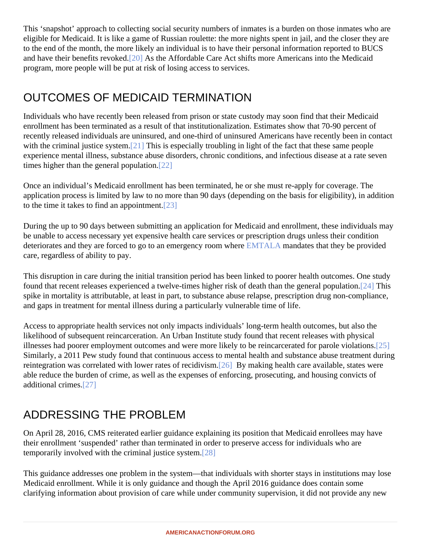<span id="page-2-0"></span>This 'snapshot' approach to collecting social security numbers of inmates is a burden on those inmates who are eligible for Medicaid. It is like a game of Russian roulette: the more nights spent in jail, and the closer they are to the end of the month, the more likely an individual is to have their personal information reported to BUCS and have their benefits revoked. As the Affordable Care Act shifts more Americans into the Medicaid program, more people will be put at risk of losing access to services.

## OUTCOMES OF MEDICAID TERMINATION

Individuals who have recently been released from prison or state custody may soon find that their Medicaid enrollment has been terminated as a result of that institutionalization. Estimates show that 70-90 percent of recently released individuals are uninsured, and one-third of uninsured Americans have recently been in cont with the criminal justice syste $[21]$  This is especially troubling in light of the fact that these same people experience mental illness, substance abuse disorders, chronic conditions, and infectious disease at a rate set times higher than the general popula[tion.](#page-5-0)

Once an individual's Medicaid enrollment has been terminated, he or she must re-apply for coverage. The application process is limited by law to no more than 90 days (depending on the basis for eligibility), in additio to the time it takes to find an appointment.

During the up to 90 days between submitting an application for Medicaid and enrollment, these individuals may be unable to access necessary yet expensive health care services or prescription drugs unless their condition deteriorates and they are forced to go to an emergency room Where A mandates that they be provided care, regardless of ability to pay.

This disruption in care during the initial transition period has been linked to poorer health outcomes. One study found that recent releases experienced a twelve-times higher risk of death than the general [popu](#page-5-0)lation. spike in mortality is attributable, at least in part, to substance abuse relapse, prescription drug non-complianc and gaps in treatment for mental illness during a particularly vulnerable time of life.

Access to appropriate health services not only impacts individuals' long-term health outcomes, but also the likelihood of subsequent reincarceration. An Urban Institute study found that recent releases with physical illnesses had poorer employment outcomes and were more likely to be reincarcerated for parole *Violations*. Similarly, a 2011 Pew study found that continuous access to mental health and substance abuse treatment d reintegration was correlated with lower rates of recidi[vism](#page-5-0). By making health care available, states were able reduce the burden of crime, as well as the expenses of enforcing, prosecuting, and housing convicts of additional crime\$27]

## ADDRESSING THE PROBLEM

On April 28, 2016, CMS reiterated earlier guidance explaining its position that Medicaid enrollees may have their enrollment 'suspended' rather than terminated in order to preserve access for individuals who are temporarily involved with the criminal justice system.

This guidance addresses one problem in the system—that individuals with shorter stays in institutions may lo Medicaid enrollment. While it is only guidance and though the April 2016 guidance does contain some clarifying information about provision of care while under community supervision, it did not provide any new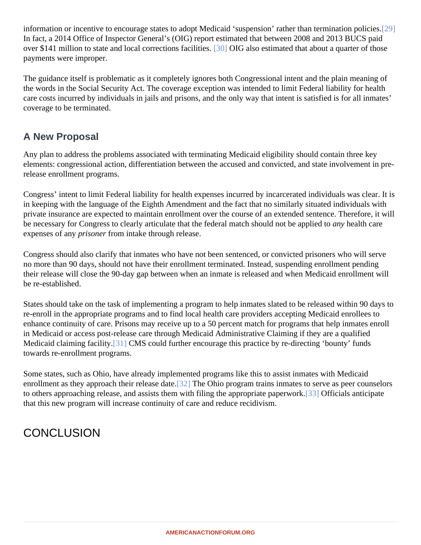<span id="page-3-0"></span>information or incentive to encourage states to adopt Medicaid 'suspension' rather than terminatio[n pol](#page-5-0)icies. In fact, a 2014 Office of Inspector General's (OIG) report estimated that between 2008 and 2013 BUCS paid over \$141 million to state and local corrections facilities. OIG also estimated that about a quarter of those payments were improper.

The guidance itself is problematic as it completely ignores both Congressional intent and the plain meaning of the words in the Social Security Act. The coverage exception was intended to limit Federal liability for health care costs incurred by individuals in jails and prisons, and the only way that intent is satisfied is for all inmates' coverage to be terminated.

#### A New Proposal

Any plan to address the problems associated with terminating Medicaid eligibility should contain three key elements: congressional action, differentiation between the accused and convicted, and state involvement in release enrollment programs.

Congress' intent to limit Federal liability for health expenses incurred by incarcerated individuals was clear. It in keeping with the language of the Eighth Amendment and the fact that no similarly situated individuals with private insurance are expected to maintain enrollment over the course of an extended sentence. Therefore, it be necessary for Congress to clearly articulate that the federal match should not be applied at the care expenses of any risoner from intake through release.

Congress should also clarify that inmates who have not been sentenced, or convicted prisoners who will serve no more than 90 days, should not have their enrollment terminated. Instead, suspending enrollment pending their release will close the 90-day gap between when an inmate is released and when Medicaid enrollment w be re-established.

States should take on the task of implementing a program to help inmates slated to be released within 90 day re-enroll in the appropriate programs and to find local health care providers accepting Medicaid enrollees to enhance continuity of care. Prisons may receive up to a 50 percent match for programs that help inmates enroll in Medicaid or access post-release care through Medicaid Administrative Claiming if they are a qualified Medicaid claiming facility<sup>[31]</sup> CMS could further encourage this practice by re-directing 'bounty' funds towards re-enrollment programs.

Some states, such as Ohio, have already implemented programs like this to assist inmates with Medicaid enrollment as they approach their release [date](#page-5-0). The Ohio program trains inmates to serve as peer counselors to others approaching release, and assists them with filing the appropriate papery of ficials anticipate that this new program will increase continuity of care and reduce recidivism.

### **CONCLUSION**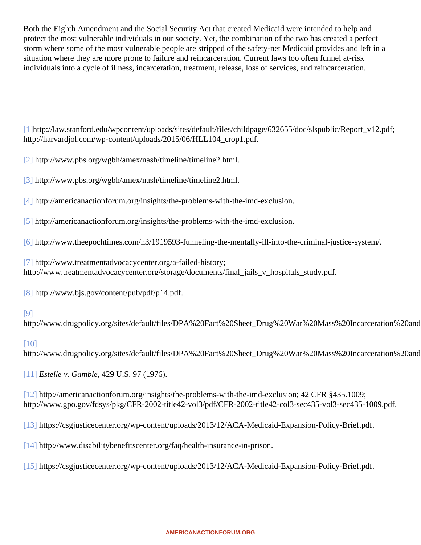<span id="page-4-0"></span>Both the Eighth Amendment and the Social Security Act that created Medicaid were intended to help and protect the most vulnerable individuals in our society. Yet, the combination of the two has created a perfect storm where some of the most vulnerable people are stripped of the safety-net Medicaid provides and left in a situation where they are more prone to failure and reincarceration. Current laws too often funnel at-risk individuals into a cycle of illness, incarceration, treatment, release, loss of services, and reincarceration.

[\[1\]](#page-0-0)http://law.stanford.edu/wpcontent/uploads/sites/default/files/childpage/632655/doc/slspublic/Report\_v12.pd http://harvardjol.com/wp-content/uploads/2015/06/HLL104\_crop1.pdf.

[\[2\]](#page-0-0) http://www.pbs.org/wgbh/amex/nash/timeline/timeline2.html.

[\[3\]](#page-0-0) http://www.pbs.org/wgbh/amex/nash/timeline/timeline2.html.

[\[4\]](#page-0-0) http://americanactionforum.org/insights/the-problems-with-the-imd-exclusion.

[\[5\]](#page-0-0) http://americanactionforum.org/insights/the-problems-with-the-imd-exclusion.

[\[6\]](#page-0-0) http://www.theepochtimes.com/n3/1919593-funneling-the-mentally-ill-into-the-criminal-justice-system/.

[\[7\]](#page-0-0) http://www.treatmentadvocacycenter.org/a-failed-history; http://www.treatmentadvocacycenter.org/storage/documents/final\_jails\_v\_hospitals\_study.pdf.

[\[8\]](#page-1-0) http://www.bjs.gov/content/pub/pdf/p14.pdf.

#### [\[9\]](#page-1-0)

http://www.drugpolicy.org/sites/default/files/DPA%20Fact%20Sheet\_Drug%20War%20Mass%20Incarceration

#### [\[10\]](#page-1-0)

http://www.drugpolicy.org/sites/default/files/DPA%20Fact%20Sheet\_Drug%20War%20Mass%20Incarceration

 $[11]$  Estelle v. Gamble 429 U.S. 97 (1976).

[\[12\]](#page-1-0) http://americanactionforum.org/insights/the-problems-with-the-imd-exclusion; 42 CFR §435.1009; http://www.gpo.gov/fdsys/pkg/CFR-2002-title42-vol3/pdf/CFR-2002-title42-col3-sec435-vol3-sec435-1009.pdf

[\[13\]](#page-1-0) https://csgjusticecenter.org/wp-content/uploads/2013/12/ACA-Medicaid-Expansion-Policy-Brief.pdf.

[\[14\]](#page-1-0) http://www.disabilitybenefitscenter.org/faq/health-insurance-in-prison.

[\[15\]](#page-1-0) https://csgjusticecenter.org/wp-content/uploads/2013/12/ACA-Medicaid-Expansion-Policy-Brief.pdf.